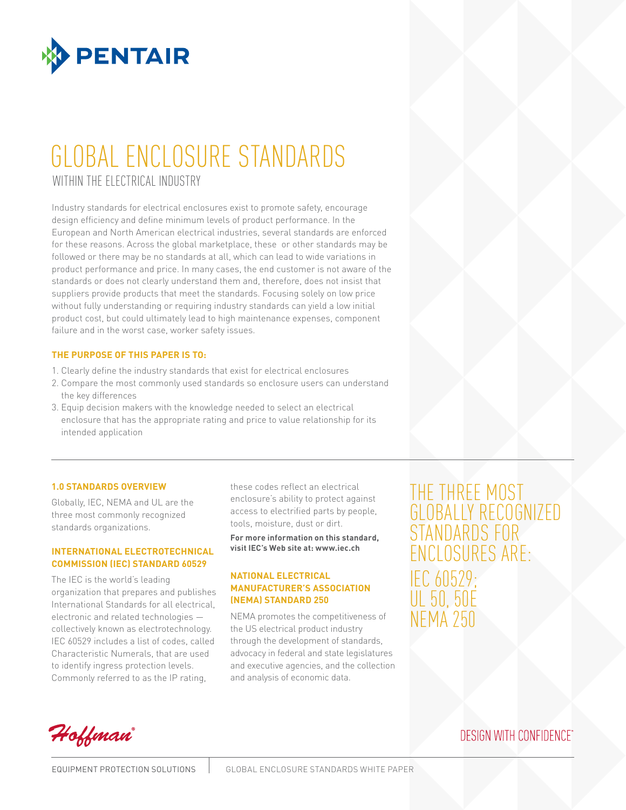

# GLOBAL ENCLOSURE STANDARDS WITHIN THE ELECTRICAL INDUSTRY

Industry standards for electrical enclosures exist to promote safety, encourage design efficiency and define minimum levels of product performance. In the European and North American electrical industries, several standards are enforced for these reasons. Across the global marketplace, these or other standards may be followed or there may be no standards at all, which can lead to wide variations in product performance and price. In many cases, the end customer is not aware of the standards or does not clearly understand them and, therefore, does not insist that suppliers provide products that meet the standards. Focusing solely on low price without fully understanding or requiring industry standards can yield a low initial product cost, but could ultimately lead to high maintenance expenses, component failure and in the worst case, worker safety issues.

### **The purpose of this paper is to:**

- 1. Clearly define the industry standards that exist for electrical enclosures
- 2. Compare the most commonly used standards so enclosure users can understand the key differences
- 3. Equip decision makers with the knowledge needed to select an electrical enclosure that has the appropriate rating and price to value relationship for its intended application

### **1.0 Standards Overview**

Globally, IEC, NEMA and UL are the three most commonly recognized standards organizations.

### **International Electrotechnical Commission (IEC) Standard 60529**

The IEC is the world's leading organization that prepares and publishes International Standards for all electrical, electronic and related technologies collectively known as electrotechnology. IEC 60529 includes a list of codes, called Characteristic Numerals, that are used to identify ingress protection levels. Commonly referred to as the IP rating,

these codes reflect an electrical enclosure's ability to protect against access to electrified parts by people, tools, moisture, dust or dirt.

**For more information on this standard, visit IEC's Web site at: www.iec.ch**

### **National Electrical Manufacturer's Association (NEMA) Standard 250**

NEMA promotes the competitiveness of the US electrical product industry through the development of standards, advocacy in federal and state legislatures and executive agencies, and the collection and analysis of economic data.

THE THREE M GLOBALLY RECOGNIZ STANDARDS F enclosures are: IEC 60529; UL 50, 50E NEMA 250

Hoffman

## **DESIGN WITH CONFIDENCE**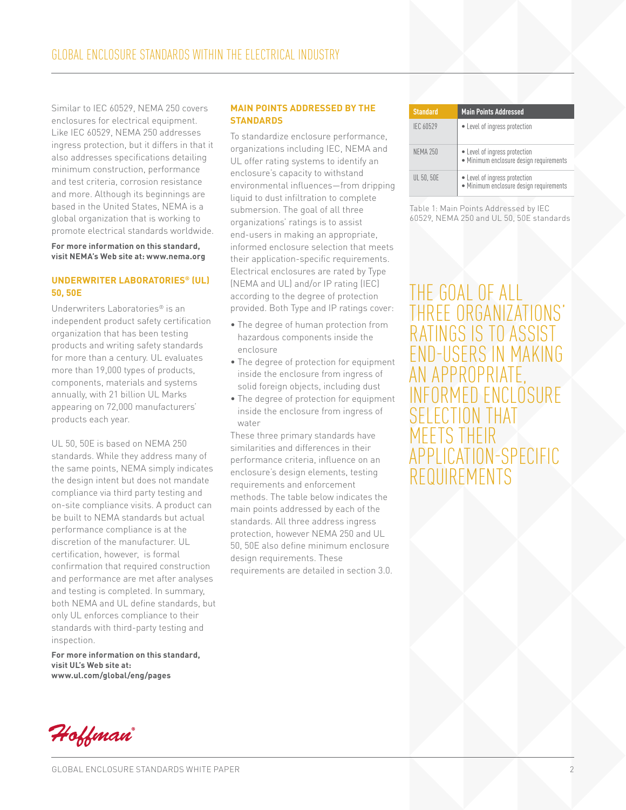Similar to IEC 60529, NEMA 250 covers enclosures for electrical equipment. Like IEC 60529, NEMA 250 addresses ingress protection, but it differs in that it also addresses specifications detailing minimum construction, performance and test criteria, corrosion resistance and more. Although its beginnings are based in the United States, NEMA is a global organization that is working to promote electrical standards worldwide.

#### **For more information on this standard, visit NEMA's Web site at: www.nema.org**

### **Underwriter Laboratories® (UL) 50, 50E**

Underwriters Laboratories® is an independent product safety certification organization that has been testing products and writing safety standards for more than a century. UL evaluates more than 19,000 types of products, components, materials and systems annually, with 21 billion UL Marks appearing on 72,000 manufacturers' products each year.

UL 50, 50E is based on NEMA 250 standards. While they address many of the same points, NEMA simply indicates the design intent but does not mandate compliance via third party testing and on-site compliance visits. A product can be built to NEMA standards but actual performance compliance is at the discretion of the manufacturer. UL certification, however, is formal confirmation that required construction and performance are met after analyses and testing is completed. In summary, both NEMA and UL define standards, but only UL enforces compliance to their standards with third-party testing and inspection.

**For more information on this standard, visit UL's Web site at: www.ul.com/global/eng/pages** 

#### **Main Points Addressed by the STANDARDS**

To standardize enclosure performance, organizations including IEC, NEMA and UL offer rating systems to identify an enclosure's capacity to withstand environmental influences—from dripping liquid to dust infiltration to complete submersion. The goal of all three organizations' ratings is to assist end-users in making an appropriate, informed enclosure selection that meets their application-specific requirements. Electrical enclosures are rated by Type (NEMA and UL) and/or IP rating (IEC) according to the degree of protection provided. Both Type and IP ratings cover:

- The degree of human protection from hazardous components inside the enclosure
- The degree of protection for equipment inside the enclosure from ingress of solid foreign objects, including dust
- The degree of protection for equipment inside the enclosure from ingress of water

These three primary standards have similarities and differences in their performance criteria, influence on an enclosure's design elements, testing requirements and enforcement methods. The table below indicates the main points addressed by each of the standards. All three address ingress protection, however NEMA 250 and UL 50, 50E also define minimum enclosure design requirements. These requirements are detailed in section 3.0.

| <b>Standard</b>  | <b>Main Points Addressed</b>                                             |
|------------------|--------------------------------------------------------------------------|
| <b>IEC 60529</b> | • Level of ingress protection                                            |
| <b>NEMA 250</b>  | • Level of ingress protection<br>• Minimum enclosure design requirements |
| UL 50, 50E       | • Level of ingress protection<br>· Minimum enclosure design requirements |

Table 1: Main Points Addressed by IEC 60529, NEMA 250 and UL 50, 50E standards

The goal of all three organizations' RATINGS IS TO end-users in making an appropriate,<br>INFORMED ENCLOSURE selection that meets their application-specific requirements

Hoffman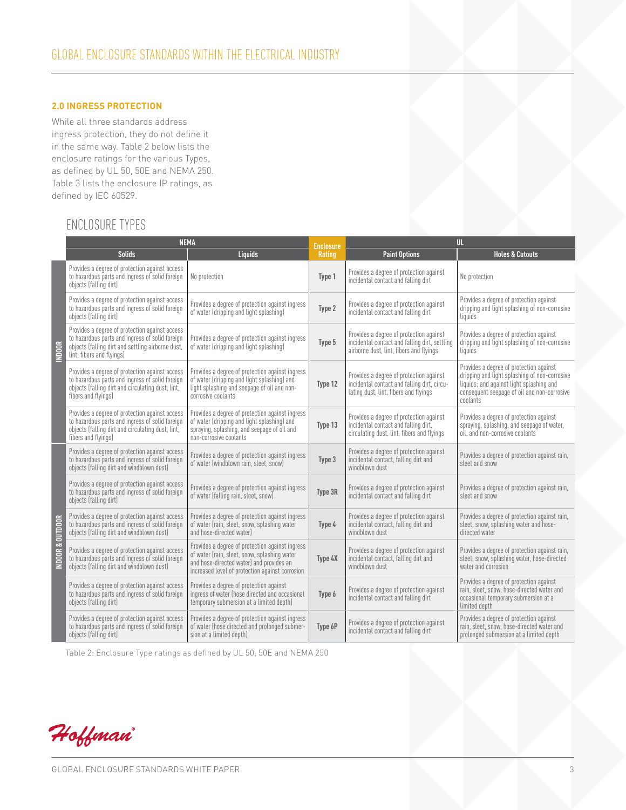### **2.0 Ingress Protection**

While all three standards address ingress protection, they do not define it in the same way. Table 2 below lists the enclosure ratings for the various Types, as defined by UL 50, 50E and NEMA 250. Table 3 lists the enclosure IP ratings, as defined by IEC 60529.

### Enclosure TYPES

|                             |                                                                                                                                                                                     | <b>NEMA</b><br>UL.<br><b>Enclosure</b>                                                                                                                                                         |         |                                                                                                                                     |                                                                                                                                                                                                 |
|-----------------------------|-------------------------------------------------------------------------------------------------------------------------------------------------------------------------------------|------------------------------------------------------------------------------------------------------------------------------------------------------------------------------------------------|---------|-------------------------------------------------------------------------------------------------------------------------------------|-------------------------------------------------------------------------------------------------------------------------------------------------------------------------------------------------|
|                             | <b>Solids</b>                                                                                                                                                                       | <b>Liquids</b>                                                                                                                                                                                 | Rating  | <b>Paint Options</b>                                                                                                                | <b>Holes &amp; Cutouts</b>                                                                                                                                                                      |
|                             | Provides a degree of protection against access<br>to hazardous parts and ingress of solid foreign<br>objects (falling dirt)                                                         | No protection                                                                                                                                                                                  | Type 1  | Provides a degree of protection against<br>incidental contact and falling dirt                                                      | No protection                                                                                                                                                                                   |
|                             | Provides a degree of protection against access<br>to hazardous parts and ingress of solid foreign<br>objects (falling dirt)                                                         | Provides a degree of protection against ingress<br>of water (dripping and light splashing)                                                                                                     | Type 2  | Provides a degree of protection against<br>incidental contact and falling dirt                                                      | Provides a degree of protection against<br>dripping and light splashing of non-corrosive<br>liquids                                                                                             |
| NDOOR                       | Provides a degree of protection against access<br>to hazardous parts and ingress of solid foreign<br>objects (falling dirt and settling airborne dust,<br>lint, fibers and flyings) | Provides a degree of protection against ingress<br>of water (dripping and light splashing)                                                                                                     | Type 5  | Provides a degree of protection against<br>incidental contact and falling dirt, settling<br>airborne dust, lint, fibers and flyings | Provides a degree of protection against<br>dripping and light splashing of non-corrosive<br>liquids                                                                                             |
|                             | Provides a degree of protection against access<br>to hazardous parts and ingress of solid foreign<br>objects (falling dirt and circulating dust, lint,<br>fibers and flyings)       | Provides a degree of protection against ingress<br>of water (dripping and light splashing) and<br>light splashing and seepage of oil and non-<br>corrosive coolants                            | Type 12 | Provides a degree of protection against<br>incidental contact and falling dirt, circu-<br>lating dust, lint, fibers and flyings     | Provides a degree of protection against<br>dripping and light splashing of non-corrosive<br>liquids; and against light splashing and<br>consequent seepage of oil and non-corrosive<br>coolants |
|                             | Provides a degree of protection against access<br>to hazardous parts and ingress of solid foreign<br>objects (falling dirt and circulating dust, lint,<br>fibers and flyings)       | Provides a degree of protection against ingress<br>of water (dripping and light splashing) and<br>spraying, splashing, and seepage of oil and<br>non-corrosive coolants                        | Type 13 | Provides a degree of protection against<br>incidental contact and falling dirt,<br>circulating dust, lint, fibers and flyings       | Provides a degree of protection against<br>spraying, splashing, and seepage of water,<br>oil, and non-corrosive coolants                                                                        |
|                             | Provides a degree of protection against access<br>to hazardous parts and ingress of solid foreign<br>objects (falling dirt and windblown dust)                                      | Provides a degree of protection against ingress<br>of water (windblown rain, sleet, snow)                                                                                                      | Type 3  | Provides a degree of protection against<br>incidental contact, falling dirt and<br>windblown dust                                   | Provides a degree of protection against rain,<br>sleet and snow                                                                                                                                 |
|                             | Provides a degree of protection against access<br>to hazardous parts and ingress of solid foreign<br>objects (falling dirt)                                                         | Provides a degree of protection against ingress<br>of water (falling rain, sleet, snow)                                                                                                        | Type 3R | Provides a degree of protection against<br>incidental contact and falling dirt                                                      | Provides a degree of protection against rain,<br>sleet and snow                                                                                                                                 |
|                             | Provides a degree of protection against access<br>to hazardous parts and ingress of solid foreign<br>objects (falling dirt and windblown dust)                                      | Provides a degree of protection against ingress<br>of water (rain, sleet, snow, splashing water<br>and hose-directed water)                                                                    | Type 4  | Provides a degree of protection against<br>incidental contact, falling dirt and<br>windblown dust                                   | Provides a degree of protection against rain,<br>sleet, snow, splashing water and hose-<br>directed water                                                                                       |
| <b>INDOOR &amp; OUTDOOR</b> | Provides a degree of protection against access<br>to hazardous parts and ingress of solid foreign<br>objects (falling dirt and windblown dust)                                      | Provides a degree of protection against ingress<br>of water (rain, sleet, snow, splashing water<br>and hose-directed water) and provides an<br>increased level of protection against corrosion | Type 4X | Provides a degree of protection against<br>incidental contact, falling dirt and<br>windblown dust                                   | Provides a degree of protection against rain,<br>sleet, snow, splashing water, hose-directed<br>water and corrosion                                                                             |
|                             | Provides a degree of protection against access<br>to hazardous parts and ingress of solid foreign<br>objects (falling dirt)                                                         | Provides a degree of protection against<br>ingress of water (hose directed and occasional<br>temporary submersion at a limited depth)                                                          | Type 6  | Provides a degree of protection against<br>incidental contact and falling dirt                                                      | Provides a degree of protection against<br>rain, sleet, snow, hose-directed water and<br>occasional temporary submersion at a<br>limited depth                                                  |
|                             | Provides a degree of protection against access<br>to hazardous parts and ingress of solid foreign<br>objects (falling dirt)                                                         | Provides a degree of protection against ingress<br>of water (hose directed and prolonged submer-<br>sion at a limited depth)                                                                   | Type 6P | Provides a degree of protection against<br>incidental contact and falling dirt                                                      | Provides a degree of protection against<br>rain, sleet, snow, hose-directed water and<br>prolonged submersion at a limited depth                                                                |

Table 2: Enclosure Type ratings as defined by UL 50, 50E and NEMA 250

Hoffman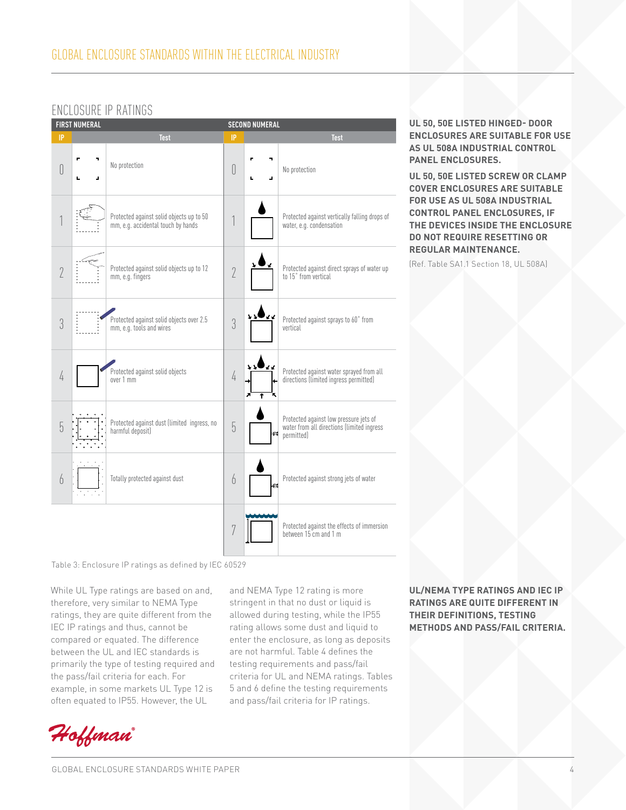### Enclosure IP Ratings

| <b>FIRST NUMERAL</b><br><b>SECOND NUMERAL</b> |         |                                                                                |                |         |                                                                                                    |
|-----------------------------------------------|---------|--------------------------------------------------------------------------------|----------------|---------|----------------------------------------------------------------------------------------------------|
| IP                                            |         | <b>Test</b>                                                                    | IP             |         | <b>Test</b>                                                                                        |
| $[]$                                          | ٦<br>ä, | No protection                                                                  | 0              | 7<br>ä, | No protection                                                                                      |
|                                               |         | Protected against solid objects up to 50<br>mm, e.g. accidental touch by hands |                |         | Protected against vertically falling drops of<br>water, e.g. condensation                          |
| $\sqrt{2}$                                    |         | Protected against solid objects up to 12<br>mm, e.g. fingers                   | $\overline{2}$ |         | Protected against direct sprays of water up<br>to 15° from vertical                                |
| 3                                             |         | Protected against solid objects over 2.5<br>mm, e.g. tools and wires           | 3              | VV.     | Protected against sprays to 60° from<br>vertical                                                   |
| 4                                             |         | Protected against solid objects<br>over 1 mm                                   | $\sqrt{4}$     | Ŧ       | Protected against water sprayed from all<br>directions (limited ingress permitted)                 |
| 5                                             |         | Protected against dust (limited ingress, no<br>harmful deposit)                | 5              | kes     | Protected against low pressure jets of<br>water from all directions (limited ingress<br>permitted) |
| $\theta$                                      |         | Totally protected against dust                                                 | 6              | иđ      | Protected against strong jets of water                                                             |
|                                               |         |                                                                                | 7              |         | Protected against the effects of immersion<br>between 15 cm and 1 m                                |

Table 3: Enclosure IP ratings as defined by IEC 60529

While UL Type ratings are based on and, therefore, very similar to NEMA Type ratings, they are quite different from the IEC IP ratings and thus, cannot be compared or equated. The difference between the UL and IEC standards is primarily the type of testing required and the pass/fail criteria for each. For example, in some markets UL Type 12 is often equated to IP55. However, the UL

and NEMA Type 12 rating is more stringent in that no dust or liquid is allowed during testing, while the IP55 rating allows some dust and liquid to enter the enclosure, as long as deposits are not harmful. Table 4 defines the testing requirements and pass/fail criteria for UL and NEMA ratings. Tables 5 and 6 define the testing requirements and pass/fail criteria for IP ratings.

### **UL/NEMA Type ratings and IEC IP ratings are quite different in their definitions, testing methods and pass/fail criteria.**

## Hoffman

**UL 50, 50E Listed hinged- door enclosures are suitable for use as UL 508A Industrial Control Panel Enclosures.**

**UL 50, 50E Listed screw or clamp cover enclosures are suitable for use as UL 508A Industrial Control Panel Enclosures, if the devices inside the enclosure do not require resetting or regular maintenance.**

(Ref. Table SA1.1 Section 18, UL 508A)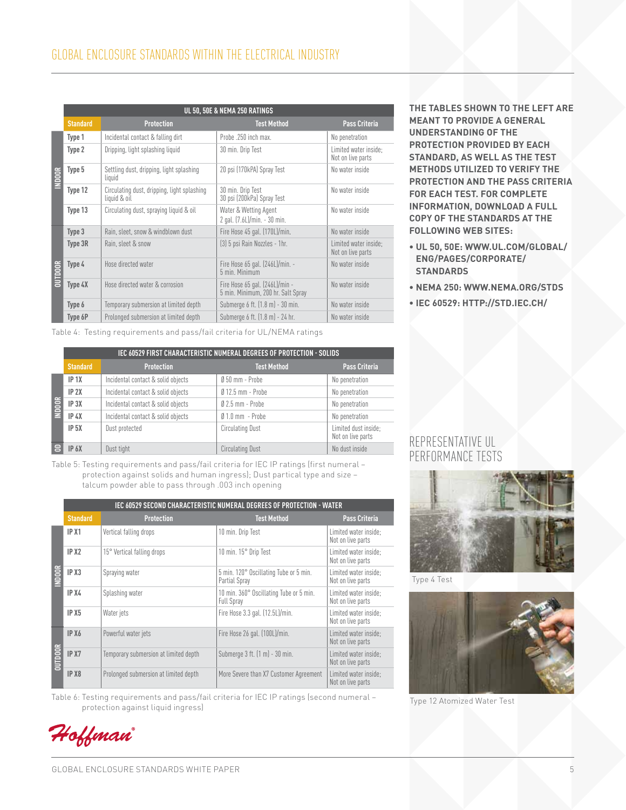|               | UL 50, 50E & NEMA 250 RATINGS |                                                             |                                                                      |                                            |  |  |
|---------------|-------------------------------|-------------------------------------------------------------|----------------------------------------------------------------------|--------------------------------------------|--|--|
|               | <b>Standard</b>               | <b>Protection</b>                                           | <b>Test Method</b>                                                   | <b>Pass Criteria</b>                       |  |  |
|               | Type 1                        | Incidental contact & falling dirt                           | Probe .250 inch max.                                                 | No penetration                             |  |  |
|               | Type 2                        | Dripping, light splashing liquid                            | 30 min. Drip Test                                                    | Limited water inside:<br>Not on live parts |  |  |
| <b>INDOOR</b> | Type 5                        | Settling dust, dripping, light splashing<br>liquid          | 20 psi (170kPA) Spray Test                                           | No water inside                            |  |  |
|               | Type 12                       | Circulating dust, dripping, light splashing<br>liquid & oil | 30 min. Drip Test<br>30 psi (200kPa) Spray Test                      | No water inside                            |  |  |
|               | Type 13                       | Circulating dust, spraying liquid & oil                     | Water & Wetting Agent<br>2 gal. (7.6L)/min. - 30 min.                | No water inside                            |  |  |
|               | Type 3                        | Rain, sleet, snow & windblown dust                          | Fire Hose 45 gal. (170L)/min.                                        | No water inside                            |  |  |
| DUTDOOR       | Type 3R                       | Rain, sleet & snow                                          | (3) 5 psi Rain Nozzles - 1hr.                                        | Limited water inside;<br>Not on live parts |  |  |
|               | Type 4                        | Hose directed water                                         | Fire Hose 65 gal. (246L)/min. -<br>5 min. Minimum                    | No water inside                            |  |  |
|               | Type 4X                       | Hose directed water & corrosion                             | Fire Hose 65 gal. (246L)/min -<br>5 min. Minimum, 200 hr. Salt Spray | No water inside                            |  |  |
|               | Type 6                        | Temporary submersion at limited depth                       | Submerge 6 ft. (1.8 m) - 30 min.                                     | No water inside                            |  |  |
|               | Type 6P                       | Prolonged submersion at limited depth                       | Submerge 6 ft. (1.8 m) - 24 hr.                                      | No water inside                            |  |  |

Table 4: Testing requirements and pass/fail criteria for UL/NEMA ratings

|               | IEC 60529 FIRST CHARACTERISTIC NUMERAL DEGREES OF PROTECTION - SOLIDS |                                    |                         |                                           |  |  |
|---------------|-----------------------------------------------------------------------|------------------------------------|-------------------------|-------------------------------------------|--|--|
|               | <b>Standard</b>                                                       | <b>Protection</b>                  | <b>Test Method</b>      | <b>Pass Criteria</b>                      |  |  |
|               | IP <sub>1X</sub>                                                      | Incidental contact & solid objects | $050$ mm - Probe        | No penetration                            |  |  |
| <b>INDOOR</b> | IP 2X                                                                 | Incidental contact & solid objects | $012.5$ mm - Probe      | No penetration                            |  |  |
|               | IP <sub>3X</sub>                                                      | Incidental contact & solid objects | $02.5$ mm - Probe       | No penetration                            |  |  |
|               | IP 4X                                                                 | Incidental contact & solid objects | $01.0$ mm $-$ Probe     | No penetration                            |  |  |
|               | IP <sub>5X</sub>                                                      | Dust protected                     | <b>Circulating Dust</b> | Limited dust inside;<br>Not on live parts |  |  |
|               | IP 6X                                                                 | Dust tight                         | <b>Circulating Dust</b> | No dust inside                            |  |  |

Table 5: Testing requirements and pass/fail criteria for IEC IP ratings (first numeral – protection against solids and human ingress); Dust partical type and size – talcum powder able to pass through .003 inch opening

|              | IEC 60529 SECOND CHARACTERISTIC NUMERAL DEGREES OF PROTECTION - WATER |                                       |                                                              |                                            |  |  |
|--------------|-----------------------------------------------------------------------|---------------------------------------|--------------------------------------------------------------|--------------------------------------------|--|--|
|              | <b>Standard</b>                                                       | <b>Protection</b>                     | <b>Test Method</b>                                           | <b>Pass Criteria</b>                       |  |  |
|              | IP X1                                                                 | Vertical falling drops                | 10 min. Drip Test                                            | Limited water inside:<br>Not on live parts |  |  |
| <b>NDOOR</b> | IP X <sub>2</sub>                                                     | 15° Vertical falling drops            | 10 min. 15° Drip Test                                        | Limited water inside:<br>Not on live parts |  |  |
|              | IP X <sub>3</sub>                                                     | Spraying water                        | 5 min. 120° Oscillating Tube or 5 min.<br>Partial Spray      | Limited water inside:<br>Not on live parts |  |  |
|              | IP X4                                                                 | Splashing water                       | 10 min. 360° Oscillating Tube or 5 min.<br><b>Full Spray</b> | Limited water inside:<br>Not on live parts |  |  |
|              | IP X <sub>5</sub>                                                     | Water jets                            | Fire Hose 3.3 gal. (12.5L)/min.                              | Limited water inside:<br>Not on live parts |  |  |
|              | IP X6                                                                 | Powerful water jets                   | Fire Hose 26 gal. (100L)/min.                                | Limited water inside:<br>Not on live parts |  |  |
| purpook      | IP X7                                                                 | Temporary submersion at limited depth | Submerge 3 ft. $(1 m) - 30 min$ .                            | Limited water inside:<br>Not on live parts |  |  |
|              | IP X <sub>8</sub>                                                     | Prolonged submersion at limited depth | More Severe than X7 Customer Agreement                       | Limited water inside:<br>Not on live parts |  |  |

Table 6: Testing requirements and pass/fail criteria for IEC IP ratings (second numeral – protection against liquid ingress)

**The tables shown to the left are meant to provide a general understanding of the protection provided by each standard, as well as the test methods utilized to verify the protection and the pass criteria FOR EACH TEST. FOR COMPLETE information, download a full copy of the standards at the following Web sites:**

- **UL 50, 50E: www.ul.com/global/ eng/pages/corporate/ standards**
- **NEMA 250: www.nema.org/stds**
- **IEC 60529: http://std.iec.ch/**

### Representative UL Performance Tests



Type 4 Test



Type 12 Atomized Water Test

Hoffman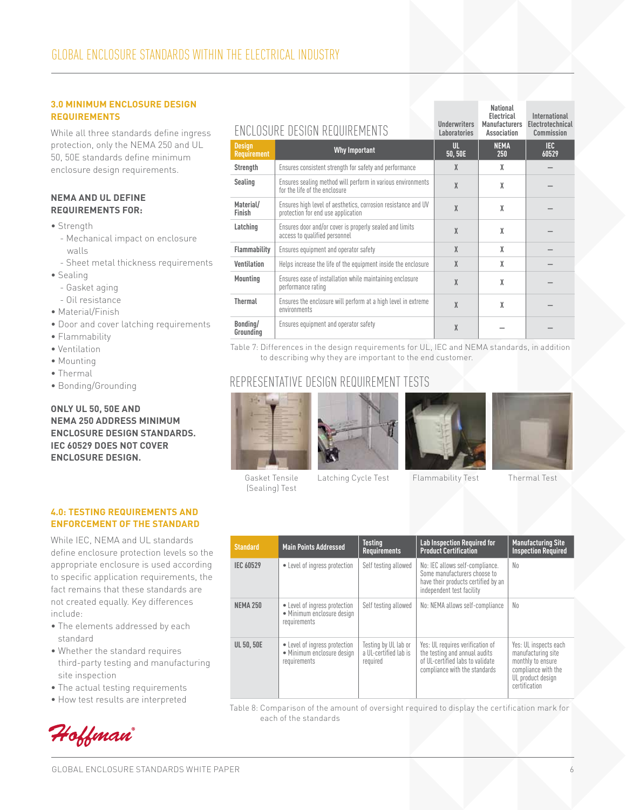### **3.0 Minimum Enclosure Design Requirements**

While all three standards define ingress protection, only the NEMA 250 and UL 50, 50E standards define minimum enclosure design requirements.

### **NEMA and UL define requirements for:**

- Strength
	- Mechanical impact on enclosure walls
	- Sheet metal thickness requirements
- Sealing
	- Gasket aging
	- Oil resistance
- Material/Finish
- Door and cover latching requirements
- Flammability
- Ventilation
- Mounting
- Thermal
- Bonding/Grounding

**Only UL 50, 50E and NEMA 250 address minimum enclosure design standards. IEC 60529 does not cover enclosure design.**

### **4.0: Testing Requirements and Enforcement of the Standard**

While IEC, NEMA and UL standards define enclosure protection levels so the appropriate enclosure is used according to specific application requirements, the fact remains that these standards are not created equally. Key differences include:

- The elements addressed by each standard
- Whether the standard requires third-party testing and manufacturing site inspection
- The actual testing requirements
- How test results are interpreted



|                                     | ENCLOSURE DESIGN REQUIREMENTS                                                                       | <b>Underwriters</b><br>Laboratories | <b>Electrical</b><br><b>Manufacturers</b><br>Association | International<br>Electrotechnical<br>Commission |
|-------------------------------------|-----------------------------------------------------------------------------------------------------|-------------------------------------|----------------------------------------------------------|-------------------------------------------------|
| <b>Design</b><br><b>Requirement</b> | <b>Why Important</b>                                                                                | UL.<br>50,50E                       | <b>NEMA</b><br>250                                       | IEC.<br>60529                                   |
| Strength                            | Ensures consistent strength for safety and performance                                              | X                                   | χ                                                        |                                                 |
| Sealing                             | Ensures sealing method will perform in various environments<br>for the life of the enclosure        | X                                   | X                                                        |                                                 |
| Material/<br>Finish                 | Ensures high level of aesthetics, corrosion resistance and UV<br>protection for end use application | $\chi$                              | X                                                        |                                                 |
| Latching                            | Ensures door and/or cover is properly sealed and limits<br>access to qualified personnel            | X                                   | X                                                        |                                                 |
| <b>Flammability</b>                 | Ensures equipment and operator safety                                                               | X                                   | X                                                        |                                                 |
| Ventilation                         | Helps increase the life of the equipment inside the enclosure                                       | X                                   | X                                                        |                                                 |
| Mounting                            | Ensures ease of installation while maintaining enclosure<br>performance rating                      | X                                   | X                                                        |                                                 |
| <b>Thermal</b>                      | Ensures the enclosure will perform at a high level in extreme<br>environments                       | X                                   | X                                                        |                                                 |
| Bonding/<br>Grounding               | Ensures equipment and operator safety                                                               | X                                   |                                                          |                                                 |

Table 7: Differences in the design requirements for UL, IEC and NEMA standards, in addition to describing why they are important to the end customer.

### Representative Design Requirement Tests





Gasket Tensile (Sealing) Test



Latching Cycle Test Flammability Test Thermal Test

**National** 

| <b>Standard</b>   | <b>Main Points Addressed</b>                                                | <b>Testing</b><br><b>Requirements</b>                     | <b>Lab Inspection Required for</b><br><b>Product Certification</b>                                                                     | <b>Manufacturing Site</b><br><b>Inspection Required</b>                                                                       |
|-------------------|-----------------------------------------------------------------------------|-----------------------------------------------------------|----------------------------------------------------------------------------------------------------------------------------------------|-------------------------------------------------------------------------------------------------------------------------------|
| <b>IEC 60529</b>  | • Level of ingress protection                                               | Self testing allowed                                      | No: IEC allows self-compliance.<br>Some manufacturers choose to<br>have their products certified by an<br>independent test facility    | No.                                                                                                                           |
| <b>NEMA 250</b>   | • Level of ingress protection<br>· Minimum enclosure design<br>requirements | Self testing allowed                                      | No: NEMA allows self-compliance                                                                                                        | No.                                                                                                                           |
| <b>UL 50, 50E</b> | • Level of ingress protection<br>• Minimum enclosure design<br>requirements | Testing by UL lab or<br>a UL-certified lab is<br>required | Yes: UL requires verification of<br>the testing and annual audits<br>of UL-certified labs to validate<br>compliance with the standards | Yes: UL inspects each<br>manufacturing site<br>monthly to ensure<br>compliance with the<br>UL product design<br>certification |

Table 8: Comparison of the amount of oversight required to display the certification mark for each of the standards